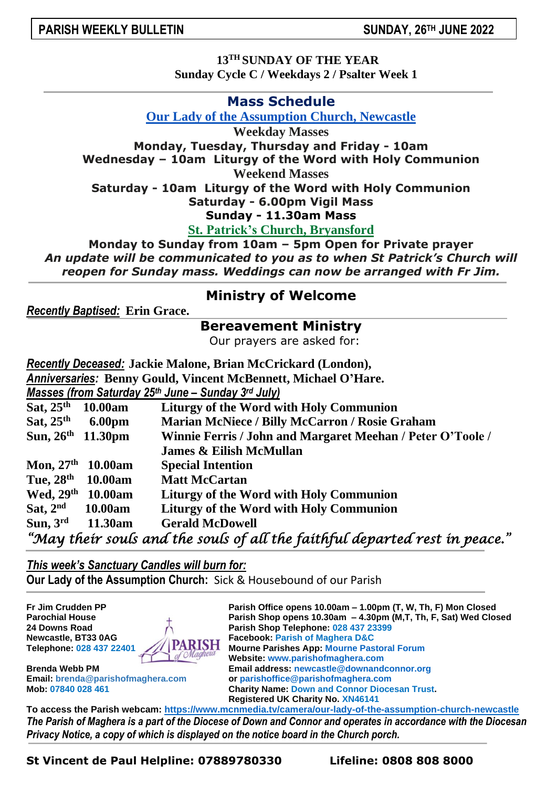**13TH SUNDAY OF THE YEAR Sunday Cycle C / Weekdays 2 / Psalter Week 1**

## **Mass Schedule**

**Our Lady of the Assumption Church, Newcastle**

**Weekday Masses**

**Monday, Tuesday, Thursday and Friday - 10am**

**Wednesday – 10am Liturgy of the Word with Holy Communion**

**Weekend Masses**

**Saturday - 10am Liturgy of the Word with Holy Communion Saturday - 6.00pm Vigil Mass**

**Sunday - 11.30am Mass**

**St. Patrick's Church, Bryansford**

**Monday to Sunday from 10am – 5pm Open for Private prayer** *An update will be communicated to you as to when St Patrick's Church will reopen for Sunday mass. Weddings can now be arranged with Fr Jim.*

## **Ministry of Welcome**

*Recently Baptised:* **Erin Grace.**

## **Bereavement Ministry**

Our prayers are asked for:

*Recently Deceased:* **Jackie Malone, Brian McCrickard (London),** *Anniversaries:* **Benny Gould, Vincent McBennett, Michael O'Hare.** *Masses (from Saturday 25th June – Sunday 3 rd July)* **Sat, 25th 10.00am Liturgy of the Word with Holy Communion Sat, 25th 6.00pm Marian McNiece / Billy McCarron / Rosie Graham Sun, 26 th 11.30pm Winnie Ferris / John and Margaret Meehan / Peter O'Toole / James & Eilish McMullan Mon, 27 th Special Intention Tue, 28 th 10.00am Matt McCartan Wed, 29th 10.00am Liturgy of the Word with Holy Communion Sat, 2 nd 10.00am Liturgy of the Word with Holy Communion Sun, 3rd 11.30am Gerald McDowell** *"May their souls and the souls of all the faithful departed rest in peace."* 

*This week's Sanctuary Candles will burn for:*  **Our Lady of the Assumption Church:** Sick & Housebound of our Parish

**Fr Jim Crudden PP Parish Office opens 10.00am – 1.00pm (T, W, Th, F) Mon Closed Parochial House Parish Shop opens 10.30am – 4.30pm (M,T, Th, F, Sat) Wed Closed 24 Downs Road Parish Shop Telephone: 028 437 23399 Newcastle, BT33 0AG**<br> **Falephone: 028 437 22401**<br> **FARISH** Mourne Parishes App: Mourne Pas **Telephone: 028 437 22401 MOUTHERRISH Mourne Parishes App: Mourne Pastoral Forum Website: [www.parishofmaghera.com](http://www.parishofmaghera.com/) Brenda Webb PM Email address: [newcastle@downandconnor.org](mailto:newcastle@downandconnor.org) Email: [brenda@parishofmaghera.com](mailto:brenda@parishofmaghera.com) or parishoffice@parishofmaghera.com Mob: 07840 028 461 Charity Name: Down and Connor Diocesan Trust. Registered UK Charity No. XN46141**

**To access the Parish webcam: <https://www.mcnmedia.tv/camera/our-lady-of-the-assumption-church-newcastle>** *The Parish of Maghera is a part of the Diocese of Down and Connor and operates in accordance with the Diocesan Privacy Notice, a copy of which is displayed on the notice board in the Church porch.*

**St Vincent de Paul Helpline: 07889780330 Lifeline: 0808 808 8000**